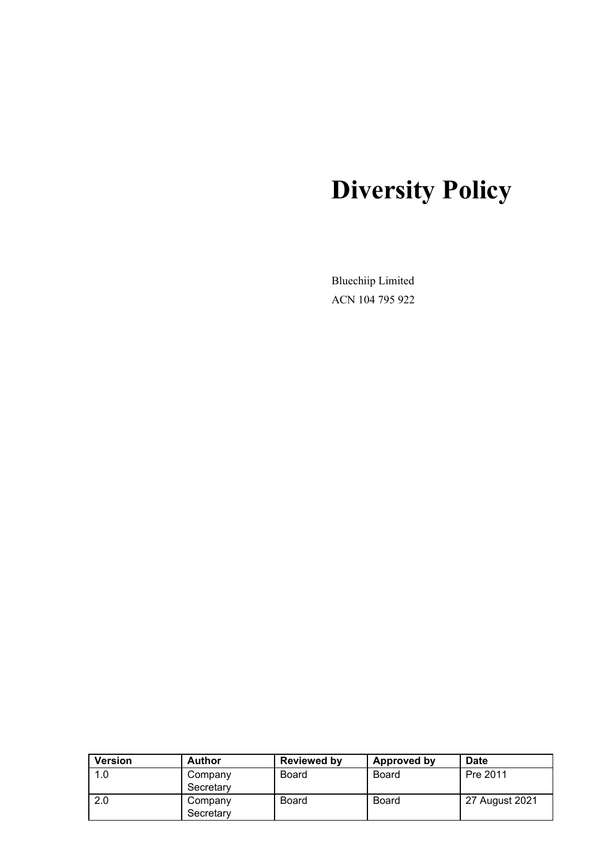# **Diversity Policy**

Bluechiip Limited ACN 104 795 922

| <b>Version</b> | <b>Author</b>        | <b>Reviewed by</b> | Approved by | <b>Date</b>    |
|----------------|----------------------|--------------------|-------------|----------------|
| 1.0            | Company<br>Secretary | Board              | Board       | Pre 2011       |
| 2.0            | Company<br>Secretary | <b>Board</b>       | Board       | 27 August 2021 |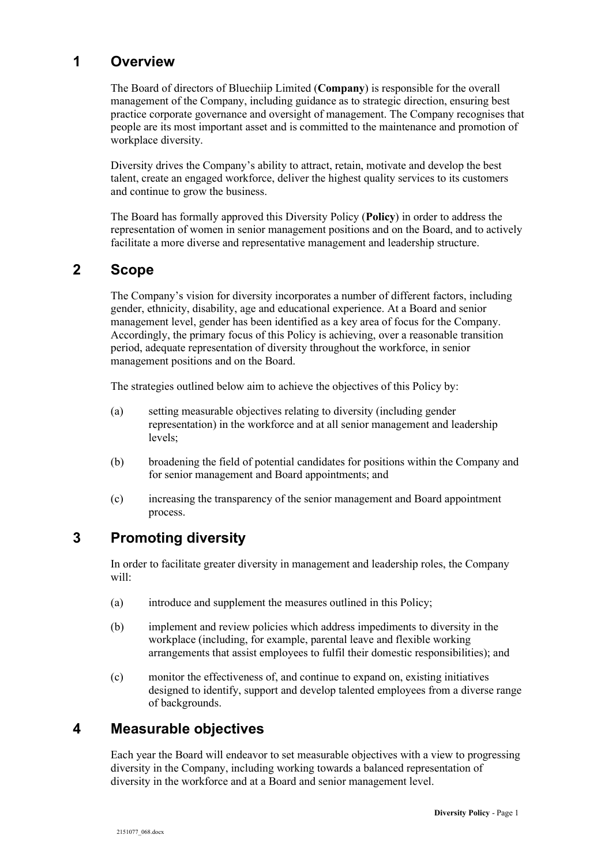# **1 Overview**

The Board of directors of Bluechiip Limited (**Company**) is responsible for the overall management of the Company, including guidance as to strategic direction, ensuring best practice corporate governance and oversight of management. The Company recognises that people are its most important asset and is committed to the maintenance and promotion of workplace diversity.

Diversity drives the Company's ability to attract, retain, motivate and develop the best talent, create an engaged workforce, deliver the highest quality services to its customers and continue to grow the business.

The Board has formally approved this Diversity Policy (**Policy**) in order to address the representation of women in senior management positions and on the Board, and to actively facilitate a more diverse and representative management and leadership structure.

# **2 Scope**

The Company's vision for diversity incorporates a number of different factors, including gender, ethnicity, disability, age and educational experience. At a Board and senior management level, gender has been identified as a key area of focus for the Company. Accordingly, the primary focus of this Policy is achieving, over a reasonable transition period, adequate representation of diversity throughout the workforce, in senior management positions and on the Board.

The strategies outlined below aim to achieve the objectives of this Policy by:

- (a) setting measurable objectives relating to diversity (including gender representation) in the workforce and at all senior management and leadership levels;
- (b) broadening the field of potential candidates for positions within the Company and for senior management and Board appointments; and
- (c) increasing the transparency of the senior management and Board appointment process.

## **3 Promoting diversity**

In order to facilitate greater diversity in management and leadership roles, the Company will:

- (a) introduce and supplement the measures outlined in this Policy;
- (b) implement and review policies which address impediments to diversity in the workplace (including, for example, parental leave and flexible working arrangements that assist employees to fulfil their domestic responsibilities); and
- (c) monitor the effectiveness of, and continue to expand on, existing initiatives designed to identify, support and develop talented employees from a diverse range of backgrounds.

## **4 Measurable objectives**

Each year the Board will endeavor to set measurable objectives with a view to progressing diversity in the Company, including working towards a balanced representation of diversity in the workforce and at a Board and senior management level.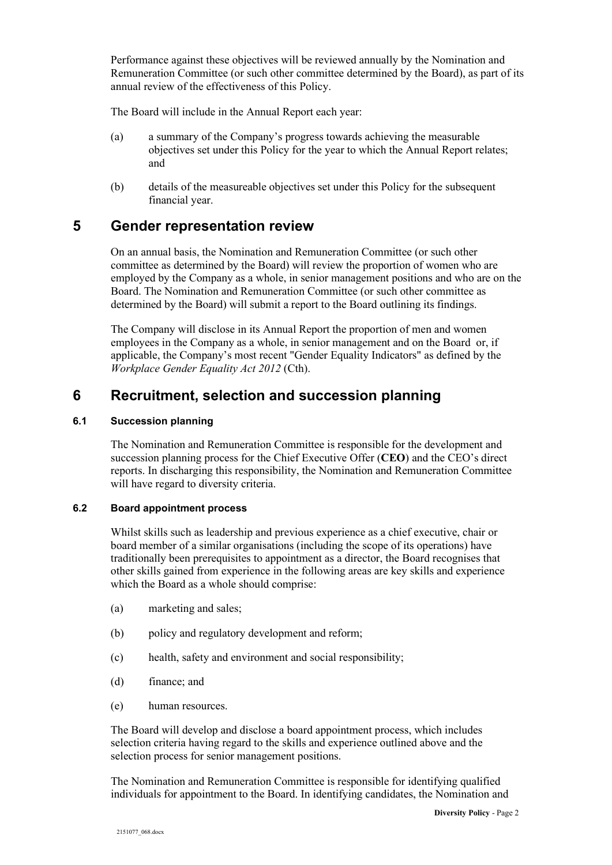Performance against these objectives will be reviewed annually by the Nomination and Remuneration Committee (or such other committee determined by the Board), as part of its annual review of the effectiveness of this Policy.

The Board will include in the Annual Report each year:

- (a) a summary of the Company's progress towards achieving the measurable objectives set under this Policy for the year to which the Annual Report relates; and
- (b) details of the measureable objectives set under this Policy for the subsequent financial year.

#### **5 Gender representation review**

On an annual basis, the Nomination and Remuneration Committee (or such other committee as determined by the Board) will review the proportion of women who are employed by the Company as a whole, in senior management positions and who are on the Board. The Nomination and Remuneration Committee (or such other committee as determined by the Board) will submit a report to the Board outlining its findings.

The Company will disclose in its Annual Report the proportion of men and women employees in the Company as a whole, in senior management and on the Board or, if applicable, the Company's most recent "Gender Equality Indicators" as defined by the *Workplace Gender Equality Act 2012* (Cth).

### **6 Recruitment, selection and succession planning**

#### **6.1 Succession planning**

The Nomination and Remuneration Committee is responsible for the development and succession planning process for the Chief Executive Offer (**CEO**) and the CEO's direct reports. In discharging this responsibility, the Nomination and Remuneration Committee will have regard to diversity criteria.

#### **6.2 Board appointment process**

Whilst skills such as leadership and previous experience as a chief executive, chair or board member of a similar organisations (including the scope of its operations) have traditionally been prerequisites to appointment as a director, the Board recognises that other skills gained from experience in the following areas are key skills and experience which the Board as a whole should comprise:

- (a) marketing and sales;
- (b) policy and regulatory development and reform;
- (c) health, safety and environment and social responsibility;
- (d) finance; and
- (e) human resources.

The Board will develop and disclose a board appointment process, which includes selection criteria having regard to the skills and experience outlined above and the selection process for senior management positions.

The Nomination and Remuneration Committee is responsible for identifying qualified individuals for appointment to the Board. In identifying candidates, the Nomination and